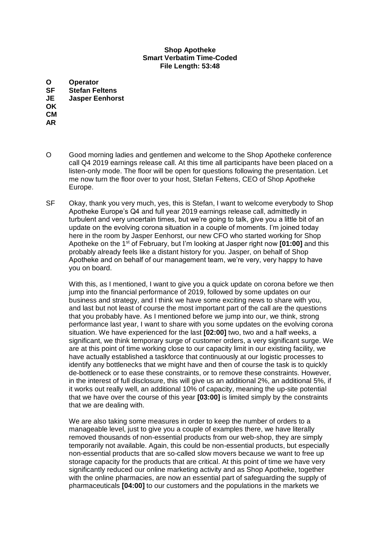## **Shop Apotheke Smart Verbatim Time-Coded File Length: 53:48**

**O Operator Stefan Feltens JE Jasper Eenhorst OK CM AR**

- O Good morning ladies and gentlemen and welcome to the Shop Apotheke conference call Q4 2019 earnings release call. At this time all participants have been placed on a listen-only mode. The floor will be open for questions following the presentation. Let me now turn the floor over to your host, Stefan Feltens, CEO of Shop Apotheke Europe.
- SF Okay, thank you very much, yes, this is Stefan, I want to welcome everybody to Shop Apotheke Europe's Q4 and full year 2019 earnings release call, admittedly in turbulent and very uncertain times, but we're going to talk, give you a little bit of an update on the evolving corona situation in a couple of moments. I'm joined today here in the room by Jasper Eenhorst, our new CFO who started working for Shop Apotheke on the 1st of February, but I'm looking at Jasper right now **[01:00]** and this probably already feels like a distant history for you. Jasper, on behalf of Shop Apotheke and on behalf of our management team, we're very, very happy to have you on board.

With this, as I mentioned, I want to give you a quick update on corona before we then jump into the financial performance of 2019, followed by some updates on our business and strategy, and I think we have some exciting news to share with you, and last but not least of course the most important part of the call are the questions that you probably have. As I mentioned before we jump into our, we think, strong performance last year, I want to share with you some updates on the evolving corona situation. We have experienced for the last **[02:00]** two, two and a half weeks, a significant, we think temporary surge of customer orders, a very significant surge. We are at this point of time working close to our capacity limit in our existing facility, we have actually established a taskforce that continuously at our logistic processes to identify any bottlenecks that we might have and then of course the task is to quickly de-bottleneck or to ease these constraints, or to remove these constraints. However, in the interest of full disclosure, this will give us an additional 2%, an additional 5%, if it works out really well, an additional 10% of capacity, meaning the up-site potential that we have over the course of this year **[03:00]** is limited simply by the constraints that we are dealing with.

We are also taking some measures in order to keep the number of orders to a manageable level, just to give you a couple of examples there, we have literally removed thousands of non-essential products from our web-shop, they are simply temporarily not available. Again, this could be non-essential products, but especially non-essential products that are so-called slow movers because we want to free up storage capacity for the products that are critical. At this point of time we have very significantly reduced our online marketing activity and as Shop Apotheke, together with the online pharmacies, are now an essential part of safeguarding the supply of pharmaceuticals **[04:00]** to our customers and the populations in the markets we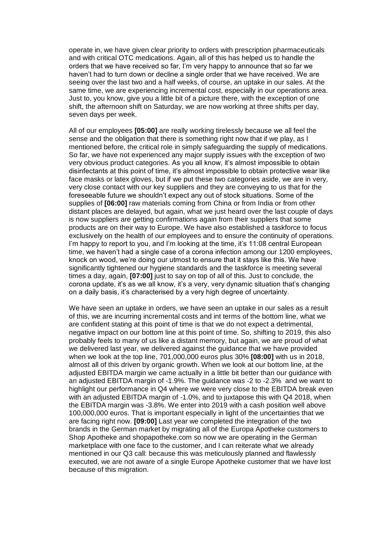operate in, we have given clear priority to orders with prescription pharmaceuticals and with critical OTC medications. Again, all of this has helped us to handle the orders that we have received so far, I'm very happy to announce that so far we haven't had to turn down or decline a single order that we have received. We are seeing over the last two and a half weeks, of course, an uptake in our sales. At the same time, we are experiencing incremental cost, especially in our operations area. Just to, you know, give you a little bit of a picture there, with the exception of one shift, the afternoon shift on Saturday, we are now working at three shifts per day, seven days per week.

All of our employees **[05:00]** are really working tirelessly because we all feel the sense and the obligation that there is something right now that if we play, as I mentioned before, the critical role in simply safeguarding the supply of medications. So far, we have not experienced any major supply issues with the exception of two very obvious product categories. As you all know, it's almost impossible to obtain disinfectants at this point of time, it's almost impossible to obtain protective wear like face masks or latex gloves, but if we put these two categories aside, we are in very, very close contact with our key suppliers and they are conveying to us that for the foreseeable future we shouldn't expect any out of stock situations. Some of the supplies of **[06:00]** raw materials coming from China or from India or from other distant places are delayed, but again, what we just heard over the last couple of days is now suppliers are getting confirmations again from their suppliers that some products are on their way to Europe. We have also established a taskforce to focus exclusively on the health of our employees and to ensure the continuity of operations. I'm happy to report to you, and I'm looking at the time, it's 11:08 central European time, we haven't had a single case of a corona infection among our 1200 employees, knock on wood, we're doing our utmost to ensure that it stays like this. We have significantly tightened our hygiene standards and the taskforce is meeting several times a day, again, **[07:00]** just to say on top of all of this. Just to conclude, the corona update, it's as we all know, it's a very, very dynamic situation that's changing on a daily basis, it's characterised by a very high degree of uncertainty.

We have seen an uptake in orders, we have seen an uptake in our sales as a result of this, we are incurring incremental costs and int terms of the bottom line, what we are confident stating at this point of time is that we do not expect a detrimental, negative impact on our bottom line at this point of time. So, shifting to 2019, this also probably feels to many of us like a distant memory, but again, we are proud of what we delivered last year, we delivered against the guidance that we have provided when we look at the top line, 701,000,000 euros plus 30% **[08:00]** with us in 2018, almost all of this driven by organic growth. When we look at our bottom line, at the adjusted EBITDA margin we came actually in a little bit better than our guidance with an adjusted EBITDA margin of -1.9%. The guidance was -2 to -2.3% and we want to highlight our performance in Q4 where we were very close to the EBITDA break even with an adjusted EBITDA margin of -1.0%, and to juxtapose this with Q4 2018, when the EBITDA margin was -3.8%. We enter into 2019 with a cash position well above 100,000,000 euros. That is important especially in light of the uncertainties that we are facing right now. **[09:00]** Last year we completed the integration of the two brands in the German market by migrating all of the Europa Apotheke customers to Shop Apotheke and shopapotheke.com so now we are operating in the German marketplace with one face to the customer, and I can reiterate what we already mentioned in our Q3 call: because this was meticulously planned and flawlessly executed, we are not aware of a single Europe Apotheke customer that we have lost because of this migration.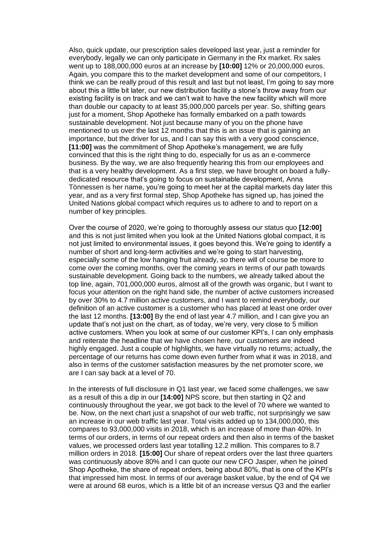Also, quick update, our prescription sales developed last year, just a reminder for everybody, legally we can only participate in Germany in the Rx market. Rx sales went up to 188,000,000 euros at an increase by **[10:00]** 12% or 20,000,000 euros. Again, you compare this to the market development and some of our competitors, I think we can be really proud of this result and last but not least, I'm going to say more about this a little bit later, our new distribution facility a stone's throw away from our existing facility is on track and we can't wait to have the new facility which will more than double our capacity to at least 35,000,000 parcels per year. So, shifting gears just for a moment, Shop Apotheke has formally embarked on a path towards sustainable development. Not just because many of you on the phone have mentioned to us over the last 12 months that this is an issue that is gaining an importance, but the driver for us, and I can say this with a very good conscience, **[11:00]** was the commitment of Shop Apotheke's management, we are fully convinced that this is the right thing to do, especially for us as an e-commerce business. By the way, we are also frequently hearing this from our employees and that is a very healthy development. As a first step, we have brought on board a fullydedicated resource that's going to focus on sustainable development, Anna Tönnessen is her name, you're going to meet her at the capital markets day later this year, and as a very first formal step, Shop Apotheke has signed up, has joined the United Nations global compact which requires us to adhere to and to report on a number of key principles.

Over the course of 2020, we're going to thoroughly assess our status quo **[12:00]**  and this is not just limited when you look at the United Nations global compact, it is not just limited to environmental issues, it goes beyond this. We're going to identify a number of short and long-term activities and we're going to start harvesting, especially some of the low hanging fruit already, so there will of course be more to come over the coming months, over the coming years in terms of our path towards sustainable development. Going back to the numbers, we already talked about the top line, again, 701,000,000 euros, almost all of the growth was organic, but I want to focus your attention on the right hand side, the number of active customers increased by over 30% to 4.7 million active customers, and I want to remind everybody, our definition of an active customer is a customer who has placed at least one order over the last 12 months. **[13:00]** By the end of last year 4.7 million, and I can give you an update that's not just on the chart, as of today, we're very, very close to 5 million active customers. When you look at some of our customer KPI's, I can only emphasis and reiterate the headline that we have chosen here, our customers are indeed highly engaged. Just a couple of highlights, we have virtually no returns; actually, the percentage of our returns has come down even further from what it was in 2018, and also in terms of the customer satisfaction measures by the net promoter score, we are I can say back at a level of 70.

In the interests of full disclosure in Q1 last year, we faced some challenges, we saw as a result of this a dip in our **[14:00]** NPS score, but then starting in Q2 and continuously throughout the year, we got back to the level of 70 where we wanted to be. Now, on the next chart just a snapshot of our web traffic, not surprisingly we saw an increase in our web traffic last year. Total visits added up to 134,000,000, this compares to 93,000,000 visits in 2018, which is an increase of more than 40%. In terms of our orders, in terms of our repeat orders and then also in terms of the basket values, we processed orders last year totalling 12.2 million. This compares to 8.7 million orders in 2018. **[15:00]** Our share of repeat orders over the last three quarters was continuously above 80% and I can quote our new CFO Jasper, when he joined Shop Apotheke, the share of repeat orders, being about 80%, that is one of the KPI's that impressed him most. In terms of our average basket value, by the end of Q4 we were at around 68 euros, which is a little bit of an increase versus Q3 and the earlier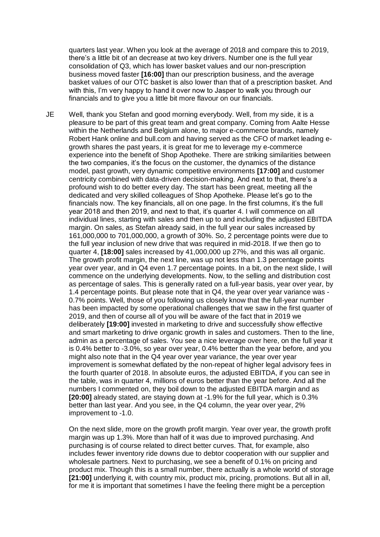quarters last year. When you look at the average of 2018 and compare this to 2019, there's a little bit of an decrease at two key drivers. Number one is the full year consolidation of Q3, which has lower basket values and our non-prescription business moved faster **[16:00]** than our prescription business, and the average basket values of our OTC basket is also lower than that of a prescription basket. And with this, I'm very happy to hand it over now to Jasper to walk you through our financials and to give you a little bit more flavour on our financials.

JE Well, thank you Stefan and good morning everybody. Well, from my side, it is a pleasure to be part of this great team and great company. Coming from Aalte Hesse within the Netherlands and Belgium alone, to major e-commerce brands, namely Robert Hank online and bull.com and having served as the CFO of market leading egrowth shares the past years, it is great for me to leverage my e-commerce experience into the benefit of Shop Apotheke. There are striking similarities between the two companies, it's the focus on the customer, the dynamics of the distance model, past growth, very dynamic competitive environments **[17:00]** and customer centricity combined with data-driven decision-making. And next to that, there's a profound wish to do better every day. The start has been great, meeting all the dedicated and very skilled colleagues of Shop Apotheke. Please let's go to the financials now. The key financials, all on one page. In the first columns, it's the full year 2018 and then 2019, and next to that, it's quarter 4. I will commence on all individual lines, starting with sales and then up to and including the adjusted EBITDA margin. On sales, as Stefan already said, in the full year our sales increased by 161,000,000 to 701,000,000, a growth of 30%. So, 2 percentage points were due to the full year inclusion of new drive that was required in mid-2018. If we then go to quarter 4, **[18:00]** sales increased by 41,000,000 up 27%, and this was all organic. The growth profit margin, the next line, was up not less than 1.3 percentage points year over year, and in Q4 even 1.7 percentage points. In a bit, on the next slide, I will commence on the underlying developments. Now, to the selling and distribution cost as percentage of sales. This is generally rated on a full-year basis, year over year, by 1.4 percentage points. But please note that in Q4, the year over year variance was -0.7% points. Well, those of you following us closely know that the full-year number has been impacted by some operational challenges that we saw in the first quarter of 2019, and then of course all of you will be aware of the fact that in 2019 we deliberately **[19:00]** invested in marketing to drive and successfully show effective and smart marketing to drive organic growth in sales and customers. Then to the line, admin as a percentage of sales. You see a nice leverage over here, on the full year it is 0.4% better to -3.0%, so year over year, 0.4% better than the year before, and you might also note that in the Q4 year over year variance, the year over year improvement is somewhat deflated by the non-repeat of higher legal advisory fees in the fourth quarter of 2018. In absolute euros, the adjusted EBITDA, if you can see in the table, was in quarter 4, millions of euros better than the year before. And all the numbers I commented on, they boil down to the adjusted EBITDA margin and as **[20:00]** already stated, are staying down at -1.9% for the full year, which is 0.3% better than last year. And you see, in the Q4 column, the year over year, 2% improvement to -1.0.

On the next slide, more on the growth profit margin. Year over year, the growth profit margin was up 1.3%. More than half of it was due to improved purchasing. And purchasing is of course related to direct better curves. That, for example, also includes fewer inventory ride downs due to debtor cooperation with our supplier and wholesale partners. Next to purchasing, we see a benefit of 0.1% on pricing and product mix. Though this is a small number, there actually is a whole world of storage **[21:00]** underlying it, with country mix, product mix, pricing, promotions. But all in all, for me it is important that sometimes I have the feeling there might be a perception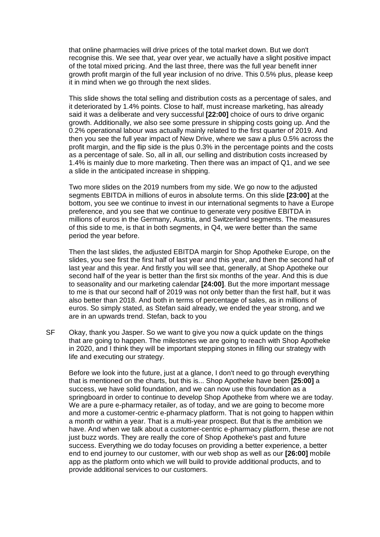that online pharmacies will drive prices of the total market down. But we don't recognise this. We see that, year over year, we actually have a slight positive impact of the total mixed pricing. And the last three, there was the full year benefit inner growth profit margin of the full year inclusion of no drive. This 0.5% plus, please keep it in mind when we go through the next slides.

This slide shows the total selling and distribution costs as a percentage of sales, and it deteriorated by 1.4% points. Close to half, must increase marketing, has already said it was a deliberate and very successful **[22:00]** choice of ours to drive organic growth. Additionally, we also see some pressure in shipping costs going up. And the 0.2% operational labour was actually mainly related to the first quarter of 2019. And then you see the full year impact of New Drive, where we saw a plus 0.5% across the profit margin, and the flip side is the plus 0.3% in the percentage points and the costs as a percentage of sale. So, all in all, our selling and distribution costs increased by 1.4% is mainly due to more marketing. Then there was an impact of Q1, and we see a slide in the anticipated increase in shipping.

Two more slides on the 2019 numbers from my side. We go now to the adjusted segments EBITDA in millions of euros in absolute terms. On this slide **[23:00]** at the bottom, you see we continue to invest in our international segments to have a Europe preference, and you see that we continue to generate very positive EBITDA in millions of euros in the Germany, Austria, and Switzerland segments. The measures of this side to me, is that in both segments, in Q4, we were better than the same period the year before.

Then the last slides, the adjusted EBITDA margin for Shop Apotheke Europe, on the slides, you see first the first half of last year and this year, and then the second half of last year and this year. And firstly you will see that, generally, at Shop Apotheke our second half of the year is better than the first six months of the year. And this is due to seasonality and our marketing calendar **[24:00]**. But the more important message to me is that our second half of 2019 was not only better than the first half, but it was also better than 2018. And both in terms of percentage of sales, as in millions of euros. So simply stated, as Stefan said already, we ended the year strong, and we are in an upwards trend. Stefan, back to you

SF Okay, thank you Jasper. So we want to give you now a quick update on the things that are going to happen. The milestones we are going to reach with Shop Apotheke in 2020, and I think they will be important stepping stones in filling our strategy with life and executing our strategy.

Before we look into the future, just at a glance, I don't need to go through everything that is mentioned on the charts, but this is... Shop Apotheke have been **[25:00]** a success, we have solid foundation, and we can now use this foundation as a springboard in order to continue to develop Shop Apotheke from where we are today. We are a pure e-pharmacy retailer, as of today, and we are going to become more and more a customer-centric e-pharmacy platform. That is not going to happen within a month or within a year. That is a multi-year prospect. But that is the ambition we have. And when we talk about a customer-centric e-pharmacy platform, these are not just buzz words. They are really the core of Shop Apotheke's past and future success. Everything we do today focuses on providing a better experience, a better end to end journey to our customer, with our web shop as well as our **[26:00]** mobile app as the platform onto which we will build to provide additional products, and to provide additional services to our customers.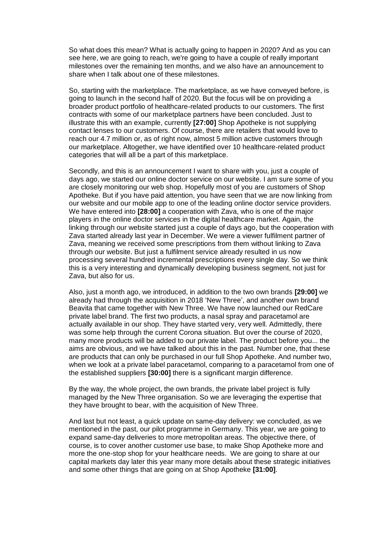So what does this mean? What is actually going to happen in 2020? And as you can see here, we are going to reach, we're going to have a couple of really important milestones over the remaining ten months, and we also have an announcement to share when I talk about one of these milestones.

So, starting with the marketplace. The marketplace, as we have conveyed before, is going to launch in the second half of 2020. But the focus will be on providing a broader product portfolio of healthcare-related products to our customers. The first contracts with some of our marketplace partners have been concluded. Just to illustrate this with an example, currently **[27:00]** Shop Apotheke is not supplying contact lenses to our customers. Of course, there are retailers that would love to reach our 4.7 million or, as of right now, almost 5 million active customers through our marketplace. Altogether, we have identified over 10 healthcare-related product categories that will all be a part of this marketplace.

Secondly, and this is an announcement I want to share with you, just a couple of days ago, we started our online doctor service on our website. I am sure some of you are closely monitoring our web shop. Hopefully most of you are customers of Shop Apotheke. But if you have paid attention, you have seen that we are now linking from our website and our mobile app to one of the leading online doctor service providers. We have entered into **[28:00]** a cooperation with Zava, who is one of the major players in the online doctor services in the digital healthcare market. Again, the linking through our website started just a couple of days ago, but the cooperation with Zava started already last year in December. We were a viewer fulfilment partner of Zava, meaning we received some prescriptions from them without linking to Zava through our website. But just a fulfilment service already resulted in us now processing several hundred incremental prescriptions every single day. So we think this is a very interesting and dynamically developing business segment, not just for Zava, but also for us.

Also, just a month ago, we introduced, in addition to the two own brands **[29:00]** we already had through the acquisition in 2018 'New Three', and another own brand Beavita that came together with New Three. We have now launched our RedCare private label brand. The first two products, a nasal spray and paracetamol are actually available in our shop. They have started very, very well. Admittedly, there was some help through the current Corona situation. But over the course of 2020, many more products will be added to our private label. The product before you... the aims are obvious, and we have talked about this in the past. Number one, that these are products that can only be purchased in our full Shop Apotheke. And number two, when we look at a private label paracetamol, comparing to a paracetamol from one of the established suppliers **[30:00]** there is a significant margin difference.

By the way, the whole project, the own brands, the private label project is fully managed by the New Three organisation. So we are leveraging the expertise that they have brought to bear, with the acquisition of New Three.

And last but not least, a quick update on same-day delivery: we concluded, as we mentioned in the past, our pilot programme in Germany. This year, we are going to expand same-day deliveries to more metropolitan areas. The objective there, of course, is to cover another customer use base, to make Shop Apotheke more and more the one-stop shop for your healthcare needs. We are going to share at our capital markets day later this year many more details about these strategic initiatives and some other things that are going on at Shop Apotheke **[31:00]**.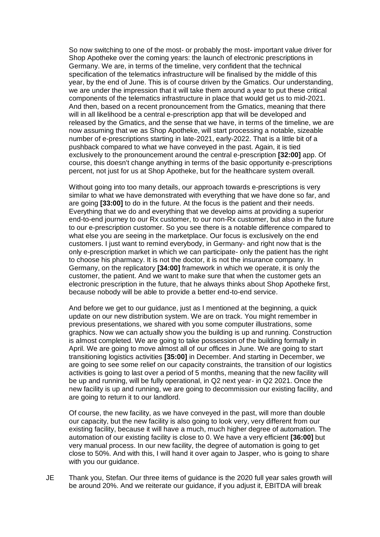So now switching to one of the most- or probably the most- important value driver for Shop Apotheke over the coming years: the launch of electronic prescriptions in Germany. We are, in terms of the timeline, very confident that the technical specification of the telematics infrastructure will be finalised by the middle of this year, by the end of June. This is of course driven by the Gmatics. Our understanding, we are under the impression that it will take them around a year to put these critical components of the telematics infrastructure in place that would get us to mid-2021. And then, based on a recent pronouncement from the Gmatics, meaning that there will in all likelihood be a central e-prescription app that will be developed and released by the Gmatics, and the sense that we have, in terms of the timeline, we are now assuming that we as Shop Apotheke, will start processing a notable, sizeable number of e-prescriptions starting in late-2021, early-2022. That is a little bit of a pushback compared to what we have conveyed in the past. Again, it is tied exclusively to the pronouncement around the central e-prescription **[32:00]** app. Of course, this doesn't change anything in terms of the basic opportunity e-prescriptions percent, not just for us at Shop Apotheke, but for the healthcare system overall.

Without going into too many details, our approach towards e-prescriptions is very similar to what we have demonstrated with everything that we have done so far, and are going **[33:00]** to do in the future. At the focus is the patient and their needs. Everything that we do and everything that we develop aims at providing a superior end-to-end journey to our Rx customer, to our non-Rx customer, but also in the future to our e-prescription customer. So you see there is a notable difference compared to what else you are seeing in the marketplace. Our focus is exclusively on the end customers. I just want to remind everybody, in Germany- and right now that is the only e-prescription market in which we can participate- only the patient has the right to choose his pharmacy. It is not the doctor, it is not the insurance company. In Germany, on the replicatory **[34:00]** framework in which we operate, it is only the customer, the patient. And we want to make sure that when the customer gets an electronic prescription in the future, that he always thinks about Shop Apotheke first, because nobody will be able to provide a better end-to-end service.

And before we get to our guidance, just as I mentioned at the beginning, a quick update on our new distribution system. We are on track. You might remember in previous presentations, we shared with you some computer illustrations, some graphics. Now we can actually show you the building is up and running. Construction is almost completed. We are going to take possession of the building formally in April. We are going to move almost all of our offices in June. We are going to start transitioning logistics activities **[35:00]** in December. And starting in December, we are going to see some relief on our capacity constraints, the transition of our logistics activities is going to last over a period of 5 months, meaning that the new facility will be up and running, will be fully operational, in Q2 next year- in Q2 2021. Once the new facility is up and running, we are going to decommission our existing facility, and are going to return it to our landlord.

Of course, the new facility, as we have conveyed in the past, will more than double our capacity, but the new facility is also going to look very, very different from our existing facility, because it will have a much, much higher degree of automation. The automation of our existing facility is close to 0. We have a very efficient **[36:00]** but very manual process. In our new facility, the degree of automation is going to get close to 50%. And with this, I will hand it over again to Jasper, who is going to share with you our guidance.

JE Thank you, Stefan. Our three items of guidance is the 2020 full year sales growth will be around 20%. And we reiterate our guidance, if you adjust it, EBITDA will break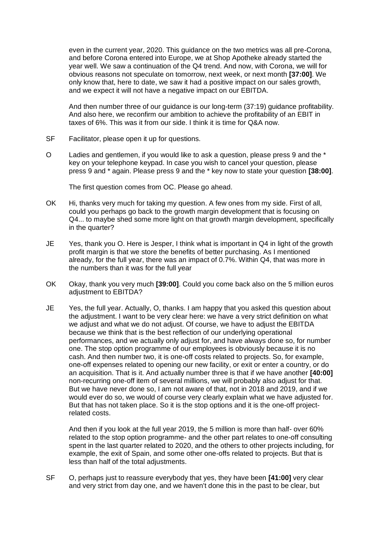even in the current year, 2020. This guidance on the two metrics was all pre-Corona, and before Corona entered into Europe, we at Shop Apotheke already started the year well. We saw a continuation of the Q4 trend. And now, with Corona, we will for obvious reasons not speculate on tomorrow, next week, or next month **[37:00]**. We only know that, here to date, we saw it had a positive impact on our sales growth, and we expect it will not have a negative impact on our EBITDA.

And then number three of our guidance is our long-term (37:19) guidance profitability. And also here, we reconfirm our ambition to achieve the profitability of an EBIT in taxes of 6%. This was it from our side. I think it is time for Q&A now.

- SF Facilitator, please open it up for questions.
- O Ladies and gentlemen, if you would like to ask a question, please press 9 and the \* key on your telephone keypad. In case you wish to cancel your question, please press 9 and \* again. Please press 9 and the \* key now to state your question **[38:00]**.

The first question comes from OC. Please go ahead.

- OK Hi, thanks very much for taking my question. A few ones from my side. First of all, could you perhaps go back to the growth margin development that is focusing on Q4... to maybe shed some more light on that growth margin development, specifically in the quarter?
- JE Yes, thank you O. Here is Jesper, I think what is important in Q4 in light of the growth profit margin is that we store the benefits of better purchasing. As I mentioned already, for the full year, there was an impact of 0.7%. Within Q4, that was more in the numbers than it was for the full year
- OK Okay, thank you very much **[39:00]**. Could you come back also on the 5 million euros adiustment to EBITDA?
- JE Yes, the full year. Actually, O, thanks. I am happy that you asked this question about the adjustment. I want to be very clear here: we have a very strict definition on what we adjust and what we do not adjust. Of course, we have to adjust the EBITDA because we think that is the best reflection of our underlying operational performances, and we actually only adjust for, and have always done so, for number one. The stop option programme of our employees is obviously because it is no cash. And then number two, it is one-off costs related to projects. So, for example, one-off expenses related to opening our new facility, or exit or enter a country, or do an acquisition. That is it. And actually number three is that if we have another **[40:00]** non-recurring one-off item of several millions, we will probably also adjust for that. But we have never done so, I am not aware of that, not in 2018 and 2019, and if we would ever do so, we would of course very clearly explain what we have adjusted for. But that has not taken place. So it is the stop options and it is the one-off projectrelated costs.

And then if you look at the full year 2019, the 5 million is more than half- over 60% related to the stop option programme- and the other part relates to one-off consulting spent in the last quarter related to 2020, and the others to other projects including, for example, the exit of Spain, and some other one-offs related to projects. But that is less than half of the total adjustments.

SF O, perhaps just to reassure everybody that yes, they have been **[41:00]** very clear and very strict from day one, and we haven't done this in the past to be clear, but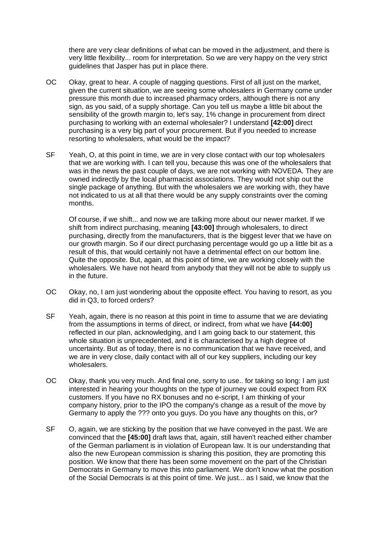there are very clear definitions of what can be moved in the adjustment, and there is very little flexibility... room for interpretation. So we are very happy on the very strict guidelines that Jasper has put in place there.

- OC Okay, great to hear. A couple of nagging questions. First of all just on the market, given the current situation, we are seeing some wholesalers in Germany come under pressure this month due to increased pharmacy orders, although there is not any sign, as you said, of a supply shortage. Can you tell us maybe a little bit about the sensibility of the growth margin to, let's say, 1% change in procurement from direct purchasing to working with an external wholesaler? I understand **[42:00]** direct purchasing is a very big part of your procurement. But if you needed to increase resorting to wholesalers, what would be the impact?
- SF Yeah, O, at this point in time, we are in very close contact with our top wholesalers that we are working with. I can tell you, because this was one of the wholesalers that was in the news the past couple of days, we are not working with NOVEDA. They are owned indirectly by the local pharmacist associations. They would not ship out the single package of anything. But with the wholesalers we are working with, they have not indicated to us at all that there would be any supply constraints over the coming months.

Of course, if we shift... and now we are talking more about our newer market. If we shift from indirect purchasing, meaning **[43:00]** through wholesalers, to direct purchasing, directly from the manufacturers, that is the biggest lever that we have on our growth margin. So if our direct purchasing percentage would go up a little bit as a result of this, that would certainly not have a detrimental effect on our bottom line. Quite the opposite. But, again, at this point of time, we are working closely with the wholesalers. We have not heard from anybody that they will not be able to supply us in the future.

- OC Okay, no, I am just wondering about the opposite effect. You having to resort, as you did in Q3, to forced orders?
- SF Yeah, again, there is no reason at this point in time to assume that we are deviating from the assumptions in terms of direct, or indirect, from what we have **[44:00]**  reflected in our plan, acknowledging, and I am going back to our statement, this whole situation is unprecedented, and it is characterised by a high degree of uncertainty. But as of today, there is no communication that we have received, and we are in very close, daily contact with all of our key suppliers, including our key wholesalers.
- OC Okay, thank you very much. And final one, sorry to use.. for taking so long: I am just interested in hearing your thoughts on the type of journey we could expect from RX customers. If you have no RX bonuses and no e-script, I am thinking of your company history, prior to the IPO the company's change as a result of the move by Germany to apply the ??? onto you guys. Do you have any thoughts on this, or?
- SF O, again, we are sticking by the position that we have conveyed in the past. We are convinced that the **[45:00]** draft laws that, again, still haven't reached either chamber of the German parliament is in violation of European law. It is our understanding that also the new European commission is sharing this position, they are promoting this position. We know that there has been some movement on the part of the Christian Democrats in Germany to move this into parliament. We don't know what the position of the Social Democrats is at this point of time. We just... as I said, we know that the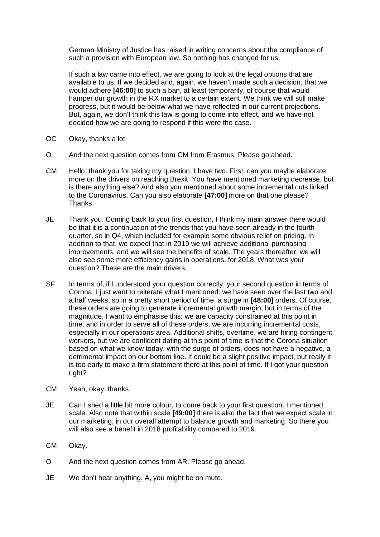German Ministry of Justice has raised in writing concerns about the compliance of such a provision with European law. So nothing has changed for us.

If such a law came into effect, we are going to look at the legal options that are available to us. If we decided and, again, we haven't made such a decision, that we would adhere **[46:00]** to such a ban, at least temporarily, of course that would hamper our growth in the RX market to a certain extent. We think we will still make progress, but it would be below what we have reflected in our current projections. But, again, we don't think this law is going to come into effect, and we have not decided how we are going to respond if this were the case.

- OC Okay, thanks a lot.
- O And the next question comes from CM from Erasmus. Please go ahead.
- CM Hello, thank you for taking my question. I have two. First, can you maybe elaborate more on the drivers on reaching Brexit. You have mentioned marketing decrease, but is there anything else? And also you mentioned about some incremental cuts linked to the Coronavirus. Can you also elaborate **[47:00]** more on that one please? Thanks.
- JE Thank you. Coming back to your first question, I think my main answer there would be that it is a continuation of the trends that you have seen already in the fourth quarter, so in Q4, which included for example some obvious relief on pricing. In addition to that, we expect that in 2019 we will achieve additional purchasing improvements, and we will see the benefits of scale. The years thereafter, we will also see some more efficiency gains in operations, for 2018. What was your question? These are the main drivers.
- SF In terms of, if I understood your question correctly, your second question in terms of Corona, I just want to reiterate what I mentioned: we have seen over the last two and a half weeks, so in a pretty short period of time, a surge in **[48:00]** orders. Of course, these orders are going to generate incremental growth margin, but in terms of the magnitude, I want to emphasise this: we are capacity constrained at this point in time, and in order to serve all of these orders, we are incurring incremental costs, especially in our operations area. Additional shifts, overtime, we are hiring contingent workers, but we are confident dating at this point of time is that the Corona situation based on what we know today, with the surge of orders, does not have a negative, a detrimental impact on our bottom line. It could be a slight positive impact, but really it is too early to make a firm statement there at this point of time. If I got your question right?
- CM Yeah, okay, thanks.
- JE Can I shed a little bit more colour, to come back to your first question. I mentioned scale. Also note that within scale **[49:00]** there is also the fact that we expect scale in our marketing, in our overall attempt to balance growth and marketing. So there you will also see a benefit in 2018 profitability compared to 2019.
- CM Okay.
- O And the next question comes from AR. Please go ahead.
- JE We don't hear anything. A, you might be on mute.